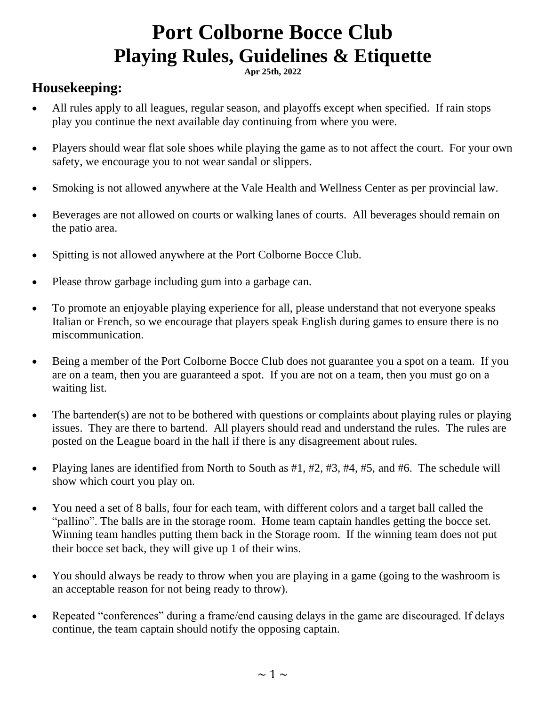# **Port Colborne Bocce Club Playing Rules, Guidelines & Etiquette**

**Apr 25th, 2022**

# **Housekeeping:**

- All rules apply to all leagues, regular season, and playoffs except when specified. If rain stops play you continue the next available day continuing from where you were.
- Players should wear flat sole shoes while playing the game as to not affect the court. For your own safety, we encourage you to not wear sandal or slippers.
- Smoking is not allowed anywhere at the Vale Health and Wellness Center as per provincial law.
- Beverages are not allowed on courts or walking lanes of courts. All beverages should remain on the patio area.
- Spitting is not allowed anywhere at the Port Colborne Bocce Club.
- Please throw garbage including gum into a garbage can.
- To promote an enjoyable playing experience for all, please understand that not everyone speaks Italian or French, so we encourage that players speak English during games to ensure there is no miscommunication.
- Being a member of the Port Colborne Bocce Club does not guarantee you a spot on a team. If you are on a team, then you are guaranteed a spot. If you are not on a team, then you must go on a waiting list.
- The bartender(s) are not to be bothered with questions or complaints about playing rules or playing issues. They are there to bartend. All players should read and understand the rules. The rules are posted on the League board in the hall if there is any disagreement about rules.
- Playing lanes are identified from North to South as  $#1, #2, #3, #4, #5,$  and  $#6$ . The schedule will show which court you play on.
- You need a set of 8 balls, four for each team, with different colors and a target ball called the "pallino". The balls are in the storage room. Home team captain handles getting the bocce set. Winning team handles putting them back in the Storage room. If the winning team does not put their bocce set back, they will give up 1 of their wins.
- You should always be ready to throw when you are playing in a game (going to the washroom is an acceptable reason for not being ready to throw).
- Repeated "conferences" during a frame/end causing delays in the game are discouraged. If delays continue, the team captain should notify the opposing captain.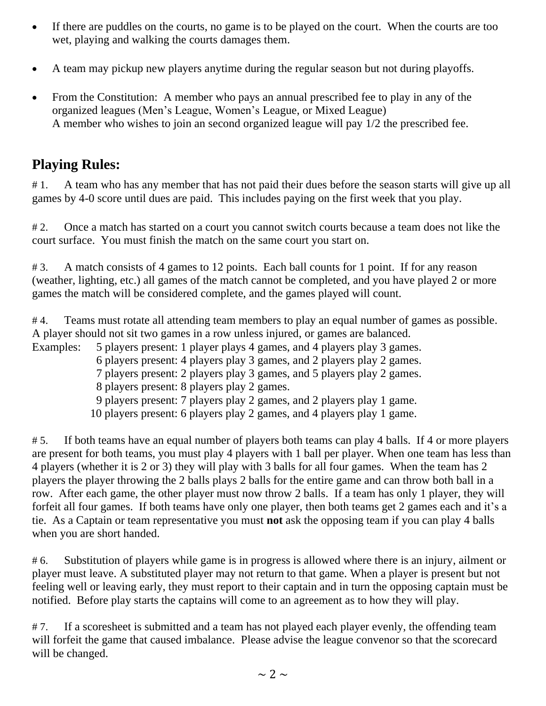- If there are puddles on the courts, no game is to be played on the court. When the courts are too wet, playing and walking the courts damages them.
- A team may pickup new players anytime during the regular season but not during playoffs.
- From the Constitution: A member who pays an annual prescribed fee to play in any of the organized leagues (Men's League, Women's League, or Mixed League) A member who wishes to join an second organized league will pay 1/2 the prescribed fee.

# **Playing Rules:**

# 1. A team who has any member that has not paid their dues before the season starts will give up all games by 4-0 score until dues are paid. This includes paying on the first week that you play.

# 2. Once a match has started on a court you cannot switch courts because a team does not like the court surface. You must finish the match on the same court you start on.

#3. A match consists of 4 games to 12 points. Each ball counts for 1 point. If for any reason (weather, lighting, etc.) all games of the match cannot be completed, and you have played 2 or more games the match will be considered complete, and the games played will count.

# 4. Teams must rotate all attending team members to play an equal number of games as possible. A player should not sit two games in a row unless injured, or games are balanced.

Examples: 5 players present: 1 player plays 4 games, and 4 players play 3 games.

6 players present: 4 players play 3 games, and 2 players play 2 games.

7 players present: 2 players play 3 games, and 5 players play 2 games.

8 players present: 8 players play 2 games.

- 9 players present: 7 players play 2 games, and 2 players play 1 game.
- 10 players present: 6 players play 2 games, and 4 players play 1 game.

# 5. If both teams have an equal number of players both teams can play 4 balls. If 4 or more players are present for both teams, you must play 4 players with 1 ball per player. When one team has less than 4 players (whether it is 2 or 3) they will play with 3 balls for all four games. When the team has 2 players the player throwing the 2 balls plays 2 balls for the entire game and can throw both ball in a row. After each game, the other player must now throw 2 balls. If a team has only 1 player, they will forfeit all four games. If both teams have only one player, then both teams get 2 games each and it's a tie. As a Captain or team representative you must **not** ask the opposing team if you can play 4 balls when you are short handed.

# 6. Substitution of players while game is in progress is allowed where there is an injury, ailment or player must leave. A substituted player may not return to that game. When a player is present but not feeling well or leaving early, they must report to their captain and in turn the opposing captain must be notified. Before play starts the captains will come to an agreement as to how they will play.

#7. If a scoresheet is submitted and a team has not played each player evenly, the offending team will forfeit the game that caused imbalance. Please advise the league convenor so that the scorecard will be changed.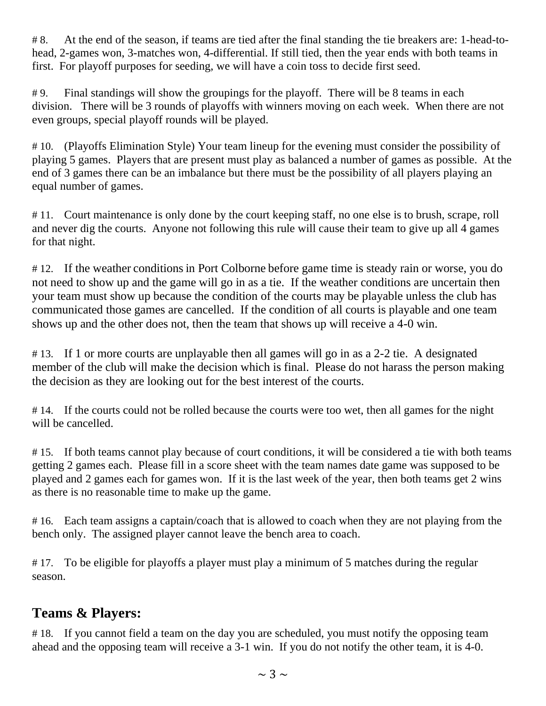# 8. At the end of the season, if teams are tied after the final standing the tie breakers are: 1-head-tohead, 2-games won, 3-matches won, 4-differential. If still tied, then the year ends with both teams in first. For playoff purposes for seeding, we will have a coin toss to decide first seed.

# 9. Final standings will show the groupings for the playoff. There will be 8 teams in each division. There will be 3 rounds of playoffs with winners moving on each week. When there are not even groups, special playoff rounds will be played.

# 10. (Playoffs Elimination Style) Your team lineup for the evening must consider the possibility of playing 5 games. Players that are present must play as balanced a number of games as possible. At the end of 3 games there can be an imbalance but there must be the possibility of all players playing an equal number of games.

# 11. Court maintenance is only done by the court keeping staff, no one else is to brush, scrape, roll and never dig the courts. Anyone not following this rule will cause their team to give up all 4 games for that night.

#12. If the weather conditions in Port Colborne before game time is steady rain or worse, you do not need to show up and the game will go in as a tie. If the weather conditions are uncertain then your team must show up because the condition of the courts may be playable unless the club has communicated those games are cancelled. If the condition of all courts is playable and one team shows up and the other does not, then the team that shows up will receive a 4-0 win.

# 13. If 1 or more courts are unplayable then all games will go in as a 2-2 tie. A designated member of the club will make the decision which is final. Please do not harass the person making the decision as they are looking out for the best interest of the courts.

#14. If the courts could not be rolled because the courts were too wet, then all games for the night will be cancelled.

# 15. If both teams cannot play because of court conditions, it will be considered a tie with both teams getting 2 games each. Please fill in a score sheet with the team names date game was supposed to be played and 2 games each for games won. If it is the last week of the year, then both teams get 2 wins as there is no reasonable time to make up the game.

# 16. Each team assigns a captain/coach that is allowed to coach when they are not playing from the bench only. The assigned player cannot leave the bench area to coach.

#17. To be eligible for playoffs a player must play a minimum of 5 matches during the regular season.

# **Teams & Players:**

# 18. If you cannot field a team on the day you are scheduled, you must notify the opposing team ahead and the opposing team will receive a 3-1 win. If you do not notify the other team, it is 4-0.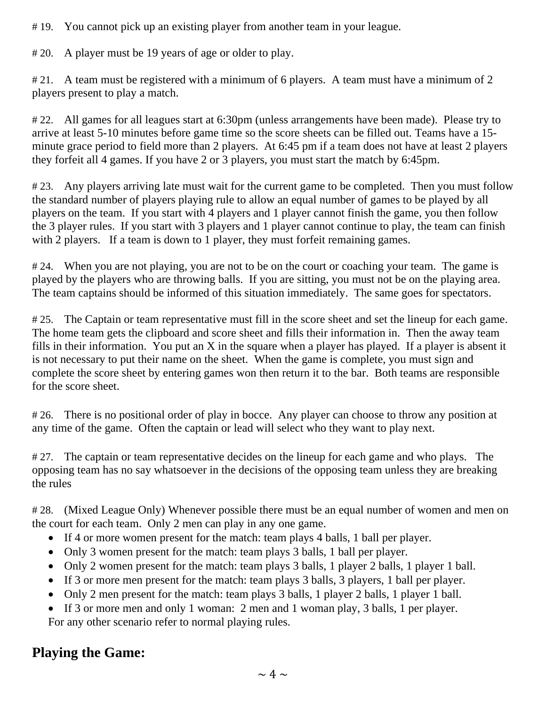# 19. You cannot pick up an existing player from another team in your league.

# 20. A player must be 19 years of age or older to play.

# 21. A team must be registered with a minimum of 6 players. A team must have a minimum of 2 players present to play a match.

# 22. All games for all leagues start at 6:30pm (unless arrangements have been made). Please try to arrive at least 5-10 minutes before game time so the score sheets can be filled out. Teams have a 15 minute grace period to field more than 2 players. At 6:45 pm if a team does not have at least 2 players they forfeit all 4 games. If you have 2 or 3 players, you must start the match by 6:45pm.

#23. Any players arriving late must wait for the current game to be completed. Then you must follow the standard number of players playing rule to allow an equal number of games to be played by all players on the team. If you start with 4 players and 1 player cannot finish the game, you then follow the 3 player rules. If you start with 3 players and 1 player cannot continue to play, the team can finish with 2 players. If a team is down to 1 player, they must forfeit remaining games.

#24. When you are not playing, you are not to be on the court or coaching your team. The game is played by the players who are throwing balls. If you are sitting, you must not be on the playing area. The team captains should be informed of this situation immediately. The same goes for spectators.

# 25. The Captain or team representative must fill in the score sheet and set the lineup for each game. The home team gets the clipboard and score sheet and fills their information in. Then the away team fills in their information. You put an  $X$  in the square when a player has played. If a player is absent it is not necessary to put their name on the sheet. When the game is complete, you must sign and complete the score sheet by entering games won then return it to the bar. Both teams are responsible for the score sheet.

# 26. There is no positional order of play in bocce. Any player can choose to throw any position at any time of the game. Often the captain or lead will select who they want to play next.

#27. The captain or team representative decides on the lineup for each game and who plays. The opposing team has no say whatsoever in the decisions of the opposing team unless they are breaking the rules

# 28. (Mixed League Only) Whenever possible there must be an equal number of women and men on the court for each team. Only 2 men can play in any one game.

- If 4 or more women present for the match: team plays 4 balls, 1 ball per player.
- Only 3 women present for the match: team plays 3 balls, 1 ball per player.
- Only 2 women present for the match: team plays 3 balls, 1 player 2 balls, 1 player 1 ball.
- If 3 or more men present for the match: team plays 3 balls, 3 players, 1 ball per player.
- Only 2 men present for the match: team plays 3 balls, 1 player 2 balls, 1 player 1 ball.
- If 3 or more men and only 1 woman: 2 men and 1 woman play, 3 balls, 1 per player. For any other scenario refer to normal playing rules.

# **Playing the Game:**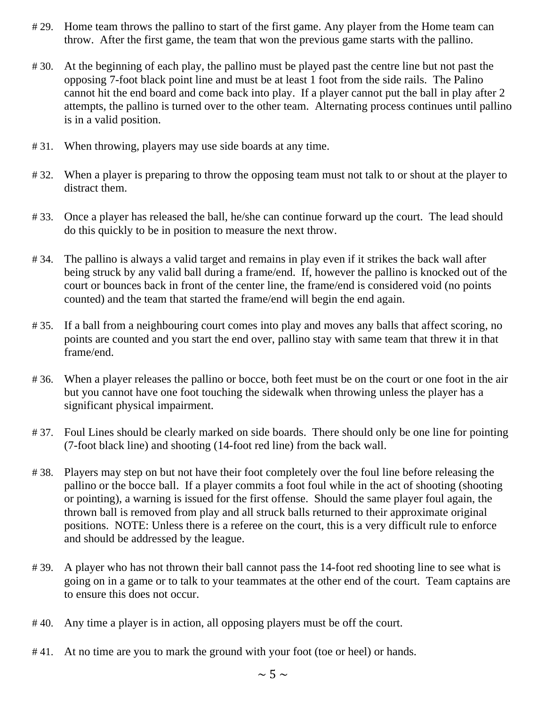- # 29. Home team throws the pallino to start of the first game. Any player from the Home team can throw. After the first game, the team that won the previous game starts with the pallino.
- # 30. At the beginning of each play, the pallino must be played past the centre line but not past the opposing 7-foot black point line and must be at least 1 foot from the side rails. The Palino cannot hit the end board and come back into play. If a player cannot put the ball in play after 2 attempts, the pallino is turned over to the other team. Alternating process continues until pallino is in a valid position.
- # 31. When throwing, players may use side boards at any time.
- #32. When a player is preparing to throw the opposing team must not talk to or shout at the player to distract them.
- # 33. Once a player has released the ball, he/she can continue forward up the court. The lead should do this quickly to be in position to measure the next throw.
- # 34. The pallino is always a valid target and remains in play even if it strikes the back wall after being struck by any valid ball during a frame/end. If, however the pallino is knocked out of the court or bounces back in front of the center line, the frame/end is considered void (no points counted) and the team that started the frame/end will begin the end again.
- # 35. If a ball from a neighbouring court comes into play and moves any balls that affect scoring, no points are counted and you start the end over, pallino stay with same team that threw it in that frame/end.
- #36. When a player releases the pallino or bocce, both feet must be on the court or one foot in the air but you cannot have one foot touching the sidewalk when throwing unless the player has a significant physical impairment.
- #37. Foul Lines should be clearly marked on side boards. There should only be one line for pointing (7-foot black line) and shooting (14-foot red line) from the back wall.
- # 38. Players may step on but not have their foot completely over the foul line before releasing the pallino or the bocce ball. If a player commits a foot foul while in the act of shooting (shooting or pointing), a warning is issued for the first offense. Should the same player foul again, the thrown ball is removed from play and all struck balls returned to their approximate original positions. NOTE: Unless there is a referee on the court, this is a very difficult rule to enforce and should be addressed by the league.
- # 39. A player who has not thrown their ball cannot pass the 14-foot red shooting line to see what is going on in a game or to talk to your teammates at the other end of the court. Team captains are to ensure this does not occur.
- # 40. Any time a player is in action, all opposing players must be off the court.
- #41. At no time are you to mark the ground with your foot (toe or heel) or hands.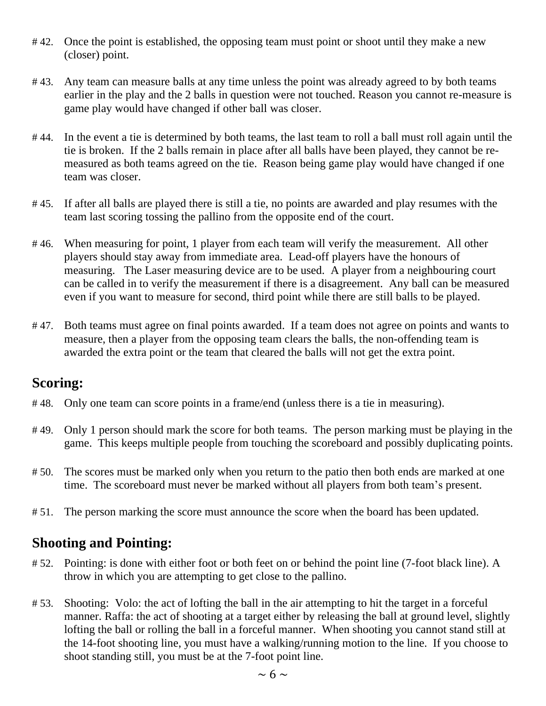- #42. Once the point is established, the opposing team must point or shoot until they make a new (closer) point.
- # 43. Any team can measure balls at any time unless the point was already agreed to by both teams earlier in the play and the 2 balls in question were not touched. Reason you cannot re-measure is game play would have changed if other ball was closer.
- # 44. In the event a tie is determined by both teams, the last team to roll a ball must roll again until the tie is broken. If the 2 balls remain in place after all balls have been played, they cannot be remeasured as both teams agreed on the tie. Reason being game play would have changed if one team was closer.
- # 45. If after all balls are played there is still a tie, no points are awarded and play resumes with the team last scoring tossing the pallino from the opposite end of the court.
- #46. When measuring for point, 1 player from each team will verify the measurement. All other players should stay away from immediate area. Lead-off players have the honours of measuring. The Laser measuring device are to be used. A player from a neighbouring court can be called in to verify the measurement if there is a disagreement. Any ball can be measured even if you want to measure for second, third point while there are still balls to be played.
- # 47. Both teams must agree on final points awarded. If a team does not agree on points and wants to measure, then a player from the opposing team clears the balls, the non-offending team is awarded the extra point or the team that cleared the balls will not get the extra point.

#### **Scoring:**

- # 48. Only one team can score points in a frame/end (unless there is a tie in measuring).
- #49. Only 1 person should mark the score for both teams. The person marking must be playing in the game. This keeps multiple people from touching the scoreboard and possibly duplicating points.
- #50. The scores must be marked only when you return to the patio then both ends are marked at one time. The scoreboard must never be marked without all players from both team's present.
- # 51. The person marking the score must announce the score when the board has been updated.

# **Shooting and Pointing:**

- # 52. Pointing: is done with either foot or both feet on or behind the point line (7-foot black line). A throw in which you are attempting to get close to the pallino.
- # 53. Shooting: Volo: the act of lofting the ball in the air attempting to hit the target in a forceful manner. Raffa: the act of shooting at a target either by releasing the ball at ground level, slightly lofting the ball or rolling the ball in a forceful manner. When shooting you cannot stand still at the 14-foot shooting line, you must have a walking/running motion to the line. If you choose to shoot standing still, you must be at the 7-foot point line.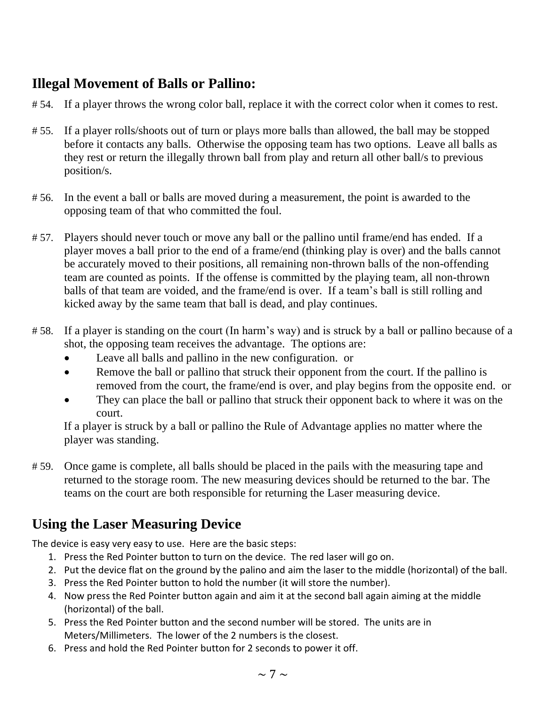# **Illegal Movement of Balls or Pallino:**

- # 54. If a player throws the wrong color ball, replace it with the correct color when it comes to rest.
- # 55. If a player rolls/shoots out of turn or plays more balls than allowed, the ball may be stopped before it contacts any balls. Otherwise the opposing team has two options. Leave all balls as they rest or return the illegally thrown ball from play and return all other ball/s to previous position/s.
- # 56. In the event a ball or balls are moved during a measurement, the point is awarded to the opposing team of that who committed the foul.
- # 57. Players should never touch or move any ball or the pallino until frame/end has ended. If a player moves a ball prior to the end of a frame/end (thinking play is over) and the balls cannot be accurately moved to their positions, all remaining non-thrown balls of the non-offending team are counted as points. If the offense is committed by the playing team, all non-thrown balls of that team are voided, and the frame/end is over. If a team's ball is still rolling and kicked away by the same team that ball is dead, and play continues.
- # 58. If a player is standing on the court (In harm's way) and is struck by a ball or pallino because of a shot, the opposing team receives the advantage. The options are:
	- Leave all balls and pallino in the new configuration. or
	- Remove the ball or pallino that struck their opponent from the court. If the pallino is removed from the court, the frame/end is over, and play begins from the opposite end. or
	- They can place the ball or pallino that struck their opponent back to where it was on the court.

 If a player is struck by a ball or pallino the Rule of Advantage applies no matter where the player was standing.

# 59. Once game is complete, all balls should be placed in the pails with the measuring tape and returned to the storage room. The new measuring devices should be returned to the bar. The teams on the court are both responsible for returning the Laser measuring device.

# **Using the Laser Measuring Device**

The device is easy very easy to use. Here are the basic steps:

- 1. Press the Red Pointer button to turn on the device. The red laser will go on.
- 2. Put the device flat on the ground by the palino and aim the laser to the middle (horizontal) of the ball.
- 3. Press the Red Pointer button to hold the number (it will store the number).
- 4. Now press the Red Pointer button again and aim it at the second ball again aiming at the middle (horizontal) of the ball.
- 5. Press the Red Pointer button and the second number will be stored. The units are in Meters/Millimeters. The lower of the 2 numbers is the closest.
- 6. Press and hold the Red Pointer button for 2 seconds to power it off.